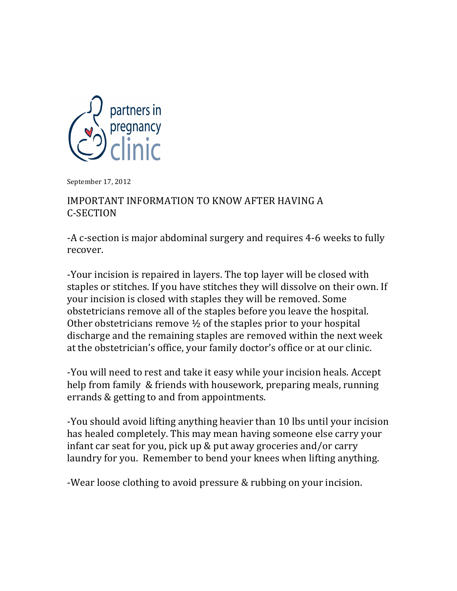

September 17, 2012

## IMPORTANT INFORMATION TO KNOW AFTER HAVING A C>SECTION

-A c-section is major abdominal surgery and requires 4-6 weeks to fully recover.

-Your incision is repaired in layers. The top layer will be closed with staples or stitches. If you have stitches they will dissolve on their own. If your incision is closed with staples they will be removed. Some obstetricians remove all of the staples before you leave the hospital. Other obstetricians remove  $\frac{1}{2}$  of the staples prior to your hospital discharge and the remaining staples are removed within the next week at the obstetrician's office, your family doctor's office or at our clinic.

-You will need to rest and take it easy while your incision heals. Accept help from family & friends with housework, preparing meals, running errands & getting to and from appointments.

-You should avoid lifting anything heavier than 10 lbs until your incision has healed completely. This may mean having someone else carry your infant car seat for you, pick up  $&$  put away groceries and/or carry laundry for you. Remember to bend your knees when lifting anything.

-Wear loose clothing to avoid pressure & rubbing on your incision.